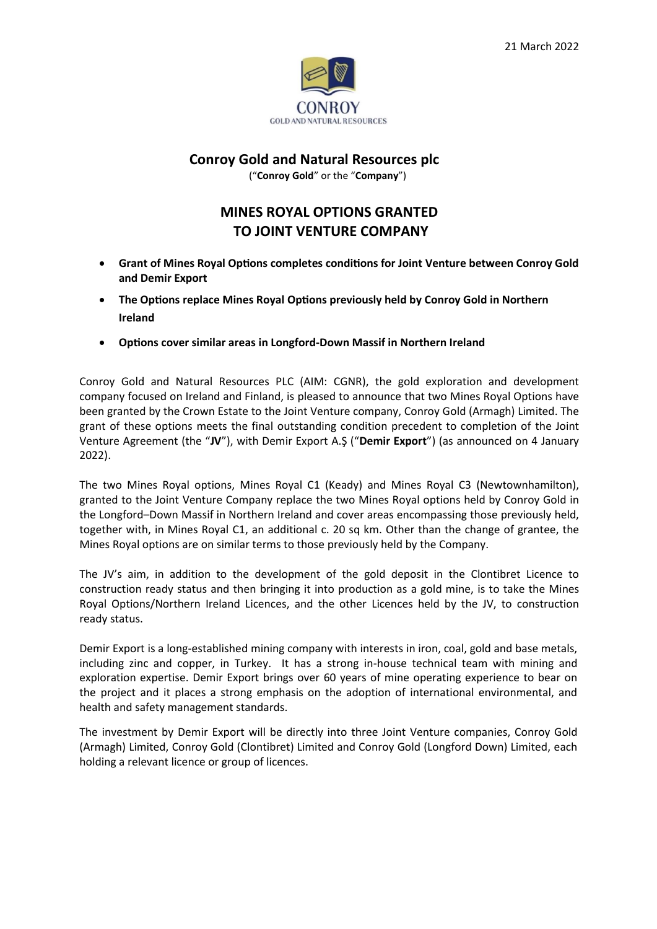

## **Conroy Gold and Natural Resources plc**

("**Conroy Gold**" or the "**Company**")

# **MINES ROYAL OPTIONS GRANTED TO JOINT VENTURE COMPANY**

- **Grant of Mines Royal Options completes conditions for Joint Venture between Conroy Gold and Demir Export**
- **The Options replace Mines Royal Options previously held by Conroy Gold in Northern Ireland**
- **Options cover similar areas in Longford-Down Massif in Northern Ireland**

Conroy Gold and Natural Resources PLC (AIM: CGNR), the gold exploration and development company focused on Ireland and Finland, is pleased to announce that two Mines Royal Options have been granted by the Crown Estate to the Joint Venture company, Conroy Gold (Armagh) Limited. The grant of these options meets the final outstanding condition precedent to completion of the Joint Venture Agreement (the "**JV**"), with Demir Export A.Ş ("**Demir Export**") (as announced on 4 January 2022).

The two Mines Royal options, Mines Royal C1 (Keady) and Mines Royal C3 (Newtownhamilton), granted to the Joint Venture Company replace the two Mines Royal options held by Conroy Gold in the Longford–Down Massif in Northern Ireland and cover areas encompassing those previously held, together with, in Mines Royal C1, an additional c. 20 sq km. Other than the change of grantee, the Mines Royal options are on similar terms to those previously held by the Company.

The JV's aim, in addition to the development of the gold deposit in the Clontibret Licence to construction ready status and then bringing it into production as a gold mine, is to take the Mines Royal Options/Northern Ireland Licences, and the other Licences held by the JV, to construction ready status.

Demir Export is a long-established mining company with interests in iron, coal, gold and base metals, including zinc and copper, in Turkey. It has a strong in-house technical team with mining and exploration expertise. Demir Export brings over 60 years of mine operating experience to bear on the project and it places a strong emphasis on the adoption of international environmental, and health and safety management standards.

The investment by Demir Export will be directly into three Joint Venture companies, Conroy Gold (Armagh) Limited, Conroy Gold (Clontibret) Limited and Conroy Gold (Longford Down) Limited, each holding a relevant licence or group of licences.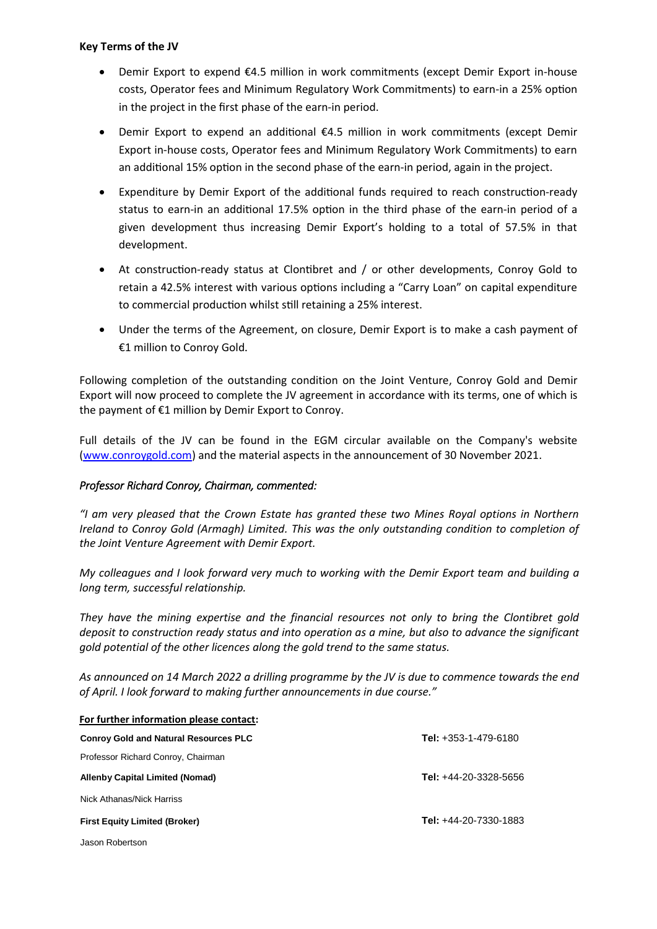#### **Key Terms of the JV**

- Demir Export to expend €4.5 million in work commitments (except Demir Export in-house costs, Operator fees and Minimum Regulatory Work Commitments) to earn-in a 25% option in the project in the first phase of the earn-in period.
- Demir Export to expend an additional €4.5 million in work commitments (except Demir Export in-house costs, Operator fees and Minimum Regulatory Work Commitments) to earn an additional 15% option in the second phase of the earn-in period, again in the project.
- Expenditure by Demir Export of the additional funds required to reach construction-ready status to earn-in an additional 17.5% option in the third phase of the earn-in period of a given development thus increasing Demir Export's holding to a total of 57.5% in that development.
- At construction-ready status at Clontibret and / or other developments, Conroy Gold to retain a 42.5% interest with various options including a "Carry Loan" on capital expenditure to commercial production whilst still retaining a 25% interest.
- Under the terms of the Agreement, on closure, Demir Export is to make a cash payment of €1 million to Conroy Gold.

Following completion of the outstanding condition on the Joint Venture, Conroy Gold and Demir Export will now proceed to complete the JV agreement in accordance with its terms, one of which is the payment of €1 million by Demir Export to Conroy.

Full details of the JV can be found in the EGM circular available on the Company's website [\(www.conroygold.com\)](http://www.conroygold.com/) and the material aspects in the announcement of 30 November 2021.

### *Professor Richard Conroy, Chairman, commented:*

*"I am very pleased that the Crown Estate has granted these two Mines Royal options in Northern Ireland to Conroy Gold (Armagh) Limited. This was the only outstanding condition to completion of the Joint Venture Agreement with Demir Export.* 

*My colleagues and I look forward very much to working with the Demir Export team and building a long term, successful relationship.* 

*They have the mining expertise and the financial resources not only to bring the Clontibret gold deposit to construction ready status and into operation as a mine, but also to advance the significant gold potential of the other licences along the gold trend to the same status.*

*As announced on 14 March 2022 a drilling programme by the JV is due to commence towards the end of April. I look forward to making further announcements in due course."*

| For further information please contact:      |                                |
|----------------------------------------------|--------------------------------|
| <b>Conroy Gold and Natural Resources PLC</b> | <b>Tel:</b> $+353-1-479-6180$  |
| Professor Richard Conroy, Chairman           |                                |
| Allenby Capital Limited (Nomad)              | <b>Tel:</b> $+44-20-3328-5656$ |
| Nick Athanas/Nick Harriss                    |                                |
| <b>First Equity Limited (Broker)</b>         | <b>Tel:</b> $+44-20-7330-1883$ |
| Jason Robertson                              |                                |